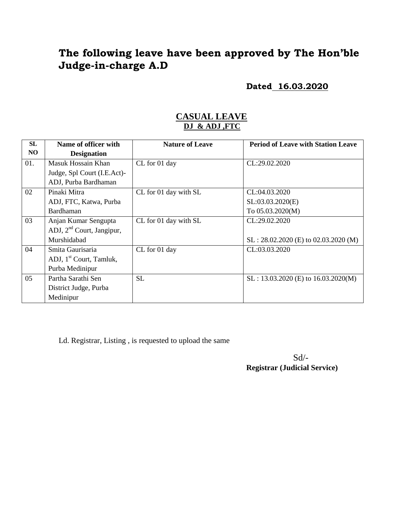# **The following leave have been approved by The Hon'ble Judge-in-charge A.D**

**Dated 16.03.2020**

#### **CASUAL LEAVE DJ & ADJ ,FTC**

| <b>SL</b> | Name of officer with                  | <b>Nature of Leave</b> | <b>Period of Leave with Station Leave</b> |
|-----------|---------------------------------------|------------------------|-------------------------------------------|
| NO.       | <b>Designation</b>                    |                        |                                           |
| 01.       | Masuk Hossain Khan                    | CL for 01 day          | CL:29.02.2020                             |
|           | Judge, Spl Court (I.E.Act)-           |                        |                                           |
|           | ADJ, Purba Bardhaman                  |                        |                                           |
| 02        | Pinaki Mitra                          | CL for 01 day with SL  | CL:04.03.2020                             |
|           | ADJ, FTC, Katwa, Purba                |                        | SL:03.03.2020(E)                          |
|           | Bardhaman                             |                        | To 05.03.2020(M)                          |
| 03        | Anjan Kumar Sengupta                  | CL for 01 day with SL  | CL:29.02.2020                             |
|           | ADJ, 2 <sup>nd</sup> Court, Jangipur, |                        |                                           |
|           | Murshidabad                           |                        | $SL: 28.02.2020$ (E) to 02.03.2020 (M)    |
| 04        | Smita Gaurisaria                      | CL for 01 day          | CL:03.03.2020                             |
|           | ADJ, 1 <sup>st</sup> Court, Tamluk,   |                        |                                           |
|           | Purba Medinipur                       |                        |                                           |
| 05        | Partha Sarathi Sen                    | <b>SL</b>              | SL: 13.03.2020 (E) to 16.03.2020(M)       |
|           | District Judge, Purba                 |                        |                                           |
|           | Medinipur                             |                        |                                           |

Ld. Registrar, Listing , is requested to upload the same

 $Sd$ <sup>-</sup> **Registrar (Judicial Service)**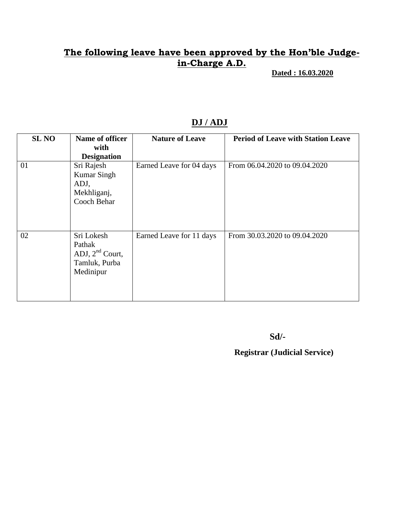## **The following leave have been approved by the Hon'ble Judgein-Charge A.D.**

 **Dated : 16.03.2020**

| <b>SL NO</b> | Name of officer    | <b>Nature of Leave</b>   | <b>Period of Leave with Station Leave</b> |
|--------------|--------------------|--------------------------|-------------------------------------------|
|              | with               |                          |                                           |
|              | <b>Designation</b> |                          |                                           |
| 01           | Sri Rajesh         | Earned Leave for 04 days | From 06.04.2020 to 09.04.2020             |
|              | <b>Kumar Singh</b> |                          |                                           |
|              | ADJ,               |                          |                                           |
|              | Mekhliganj,        |                          |                                           |
|              | Cooch Behar        |                          |                                           |
|              |                    |                          |                                           |
|              |                    |                          |                                           |
|              |                    |                          |                                           |
| 02           | Sri Lokesh         | Earned Leave for 11 days | From 30.03.2020 to 09.04.2020             |
|              | Pathak             |                          |                                           |
|              | ADJ, $2nd$ Court,  |                          |                                           |
|              | Tamluk, Purba      |                          |                                           |
|              | Medinipur          |                          |                                           |
|              |                    |                          |                                           |
|              |                    |                          |                                           |
|              |                    |                          |                                           |

### **DJ / ADJ**

**Sd/-**

 **Registrar (Judicial Service)**